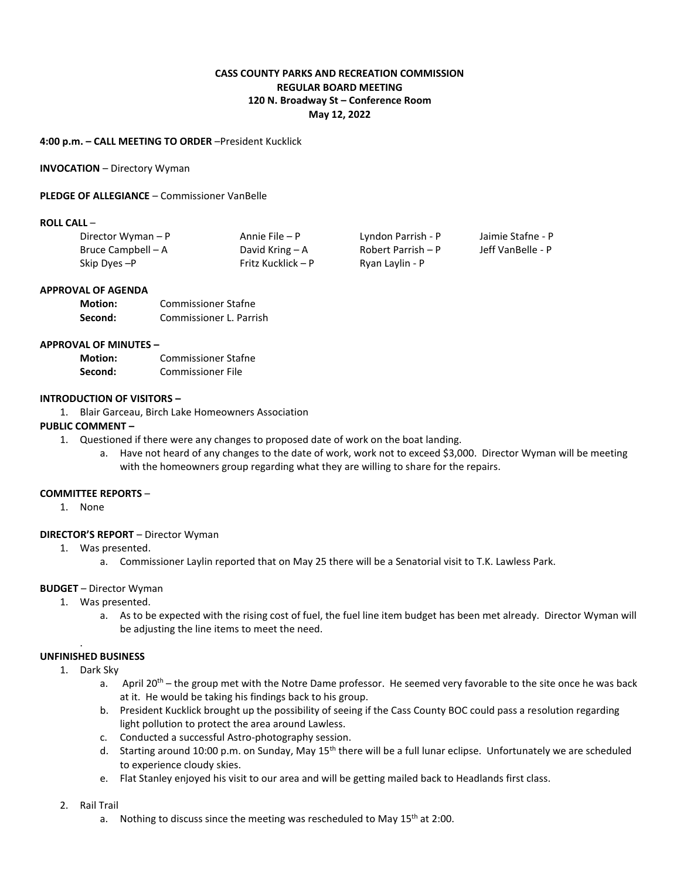# **CASS COUNTY PARKS AND RECREATION COMMISSION REGULAR BOARD MEETING 120 N. Broadway St – Conference Room May 12, 2022**

## **4:00 p.m. – CALL MEETING TO ORDER** –President Kucklick

### **INVOCATION** – Directory Wyman

### **PLEDGE OF ALLEGIANCE** – Commissioner VanBelle

### **ROLL CALL** –

| Director Wyman - P | Annie File – P     | Lyndon Parrish - P | Jaimie Stafne - P |
|--------------------|--------------------|--------------------|-------------------|
| Bruce Campbell – A | David Kring $-A$   | Robert Parrish – P | Jeff VanBelle - P |
| Skip Dyes - P      | Fritz Kucklick – P | Ryan Laylin - P    |                   |

#### **APPROVAL OF AGENDA**

| <b>Motion:</b> | <b>Commissioner Stafne</b> |
|----------------|----------------------------|
| Second:        | Commissioner L. Parrish    |

## **APPROVAL OF MINUTES –**

| <b>Motion:</b> | <b>Commissioner Stafne</b> |
|----------------|----------------------------|
| Second:        | Commissioner File          |

### **INTRODUCTION OF VISITORS –**

1. Blair Garceau, Birch Lake Homeowners Association

## **PUBLIC COMMENT –**

- 1. Questioned if there were any changes to proposed date of work on the boat landing.
	- a. Have not heard of any changes to the date of work, work not to exceed \$3,000. Director Wyman will be meeting with the homeowners group regarding what they are willing to share for the repairs.

### **COMMITTEE REPORTS** –

1. None

## **DIRECTOR'S REPORT** – Director Wyman

- 1. Was presented.
	- a. Commissioner Laylin reported that on May 25 there will be a Senatorial visit to T.K. Lawless Park.

## **BUDGET** – Director Wyman

- 1. Was presented.
	- a. As to be expected with the rising cost of fuel, the fuel line item budget has been met already. Director Wyman will be adjusting the line items to meet the need.

## **UNFINISHED BUSINESS**

.

- 1. Dark Sky
	- a. April 20<sup>th</sup> the group met with the Notre Dame professor. He seemed very favorable to the site once he was back at it. He would be taking his findings back to his group.
	- b. President Kucklick brought up the possibility of seeing if the Cass County BOC could pass a resolution regarding light pollution to protect the area around Lawless.
	- c. Conducted a successful Astro-photography session.
	- d. Starting around 10:00 p.m. on Sunday, May 15<sup>th</sup> there will be a full lunar eclipse. Unfortunately we are scheduled to experience cloudy skies.
	- e. Flat Stanley enjoyed his visit to our area and will be getting mailed back to Headlands first class.

#### 2. Rail Trail

a. Nothing to discuss since the meeting was rescheduled to May  $15<sup>th</sup>$  at 2:00.